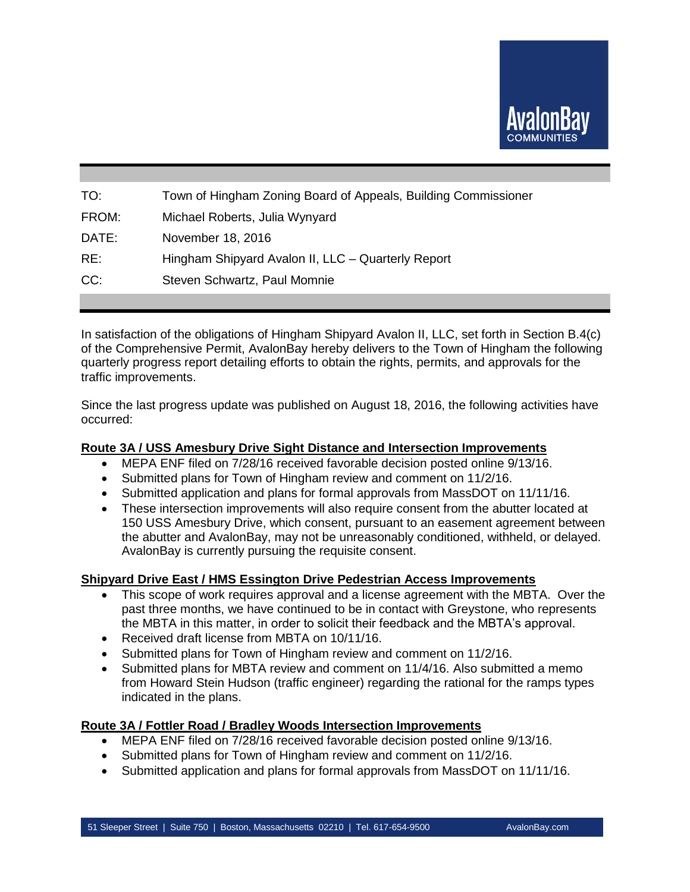

| TO:   | Town of Hingham Zoning Board of Appeals, Building Commissioner |
|-------|----------------------------------------------------------------|
| FROM: | Michael Roberts, Julia Wynyard                                 |
| DATE: | November 18, 2016                                              |
| RE:   | Hingham Shipyard Avalon II, LLC - Quarterly Report             |
| CC:   | Steven Schwartz, Paul Momnie                                   |
|       |                                                                |

In satisfaction of the obligations of Hingham Shipyard Avalon II, LLC, set forth in Section B.4(c) of the Comprehensive Permit, AvalonBay hereby delivers to the Town of Hingham the following quarterly progress report detailing efforts to obtain the rights, permits, and approvals for the traffic improvements.

Since the last progress update was published on August 18, 2016, the following activities have occurred:

### **Route 3A / USS Amesbury Drive Sight Distance and Intersection Improvements**

- MEPA ENF filed on 7/28/16 received favorable decision posted online 9/13/16.
- Submitted plans for Town of Hingham review and comment on 11/2/16.
- Submitted application and plans for formal approvals from MassDOT on 11/11/16.
- These intersection improvements will also require consent from the abutter located at 150 USS Amesbury Drive, which consent, pursuant to an easement agreement between the abutter and AvalonBay, may not be unreasonably conditioned, withheld, or delayed. AvalonBay is currently pursuing the requisite consent.

# **Shipyard Drive East / HMS Essington Drive Pedestrian Access Improvements**

- This scope of work requires approval and a license agreement with the MBTA. Over the past three months, we have continued to be in contact with Greystone, who represents the MBTA in this matter, in order to solicit their feedback and the MBTA's approval.
- Received draft license from MBTA on 10/11/16.
- Submitted plans for Town of Hingham review and comment on 11/2/16.
- Submitted plans for MBTA review and comment on 11/4/16. Also submitted a memo from Howard Stein Hudson (traffic engineer) regarding the rational for the ramps types indicated in the plans.

#### **Route 3A / Fottler Road / Bradley Woods Intersection Improvements**

- MEPA ENF filed on 7/28/16 received favorable decision posted online 9/13/16.
- Submitted plans for Town of Hingham review and comment on 11/2/16.
- Submitted application and plans for formal approvals from MassDOT on 11/11/16.